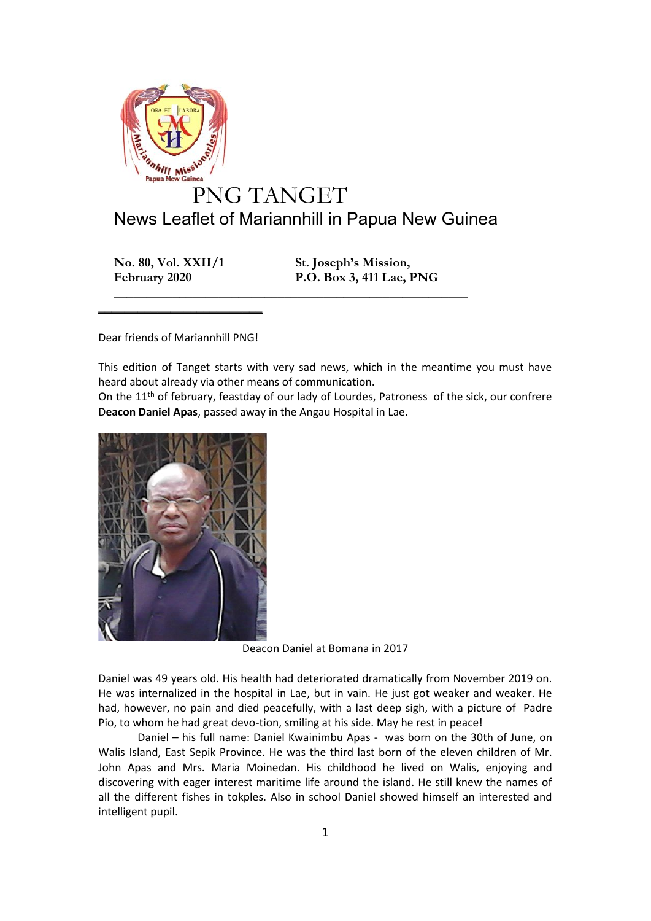

## News Leaflet of Mariannhill in Papua New Guinea

**\_\_\_\_\_\_\_\_\_\_\_\_\_\_\_\_\_\_\_\_\_\_\_\_\_\_\_\_\_\_\_\_\_\_\_\_\_\_\_\_\_\_\_\_\_\_\_\_\_\_\_\_\_\_**

**No. 80, Vol. XXII/1 St. Joseph's Mission,**

**February 2020 P.O. Box 3, 411 Lae, PNG**

Dear friends of Mariannhill PNG!

 $\frac{1}{2}$  , and the set of the set of the set of the set of the set of the set of the set of the set of the set of the set of the set of the set of the set of the set of the set of the set of the set of the set of the set

This edition of Tanget starts with very sad news, which in the meantime you must have heard about already via other means of communication.

On the  $11<sup>th</sup>$  of february, feastday of our lady of Lourdes, Patroness of the sick, our confrere D**eacon Daniel Apas**, passed away in the Angau Hospital in Lae.



Deacon Daniel at Bomana in 2017

Daniel was 49 years old. His health had deteriorated dramatically from November 2019 on. He was internalized in the hospital in Lae, but in vain. He just got weaker and weaker. He had, however, no pain and died peacefully, with a last deep sigh, with a picture of Padre Pio, to whom he had great devo-tion, smiling at his side. May he rest in peace!

Daniel – his full name: Daniel Kwainimbu Apas - was born on the 30th of June, on Walis Island, East Sepik Province. He was the third last born of the eleven children of Mr. John Apas and Mrs. Maria Moinedan. His childhood he lived on Walis, enjoying and discovering with eager interest maritime life around the island. He still knew the names of all the different fishes in tokples. Also in school Daniel showed himself an interested and intelligent pupil.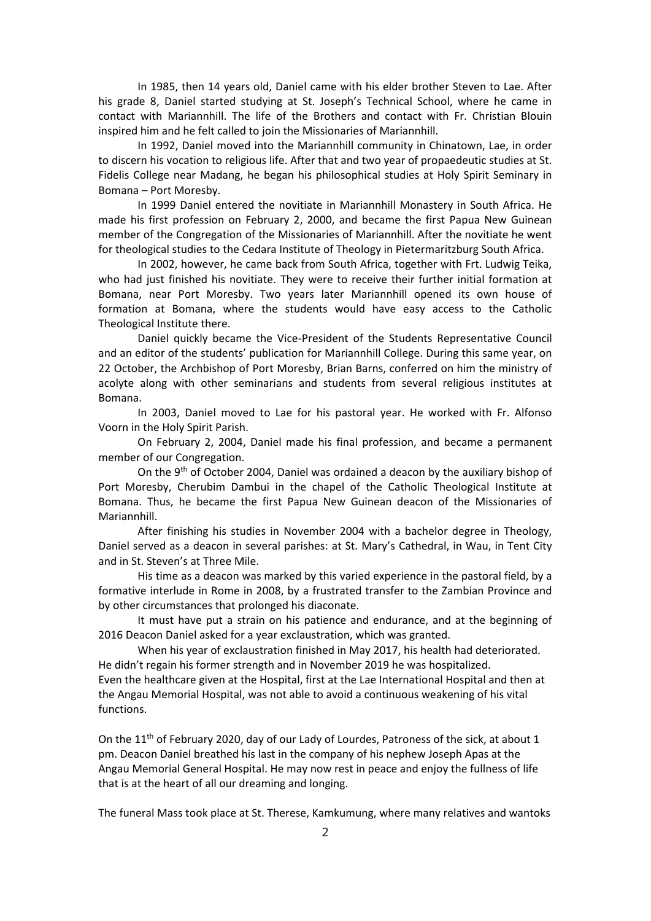In 1985, then 14 years old, Daniel came with his elder brother Steven to Lae. After his grade 8, Daniel started studying at St. Joseph's Technical School, where he came in contact with Mariannhill. The life of the Brothers and contact with Fr. Christian Blouin inspired him and he felt called to join the Missionaries of Mariannhill.

In 1992, Daniel moved into the Mariannhill community in Chinatown, Lae, in order to discern his vocation to religious life. After that and two year of propaedeutic studies at St. Fidelis College near Madang, he began his philosophical studies at Holy Spirit Seminary in Bomana – Port Moresby.

In 1999 Daniel entered the novitiate in Mariannhill Monastery in South Africa. He made his first profession on February 2, 2000, and became the first Papua New Guinean member of the Congregation of the Missionaries of Mariannhill. After the novitiate he went for theological studies to the Cedara Institute of Theology in Pietermaritzburg South Africa.

In 2002, however, he came back from South Africa, together with Frt. Ludwig Teika, who had just finished his novitiate. They were to receive their further initial formation at Bomana, near Port Moresby. Two years later Mariannhill opened its own house of formation at Bomana, where the students would have easy access to the Catholic Theological Institute there.

Daniel quickly became the Vice-President of the Students Representative Council and an editor of the students' publication for Mariannhill College. During this same year, on 22 October, the Archbishop of Port Moresby, Brian Barns, conferred on him the ministry of acolyte along with other seminarians and students from several religious institutes at Bomana.

In 2003, Daniel moved to Lae for his pastoral year. He worked with Fr. Alfonso Voorn in the Holy Spirit Parish.

On February 2, 2004, Daniel made his final profession, and became a permanent member of our Congregation.

On the 9th of October 2004, Daniel was ordained a deacon by the auxiliary bishop of Port Moresby, Cherubim Dambui in the chapel of the Catholic Theological Institute at Bomana. Thus, he became the first Papua New Guinean deacon of the Missionaries of Mariannhill.

After finishing his studies in November 2004 with a bachelor degree in Theology, Daniel served as a deacon in several parishes: at St. Mary's Cathedral, in Wau, in Tent City and in St. Steven's at Three Mile.

His time as a deacon was marked by this varied experience in the pastoral field, by a formative interlude in Rome in 2008, by a frustrated transfer to the Zambian Province and by other circumstances that prolonged his diaconate.

It must have put a strain on his patience and endurance, and at the beginning of 2016 Deacon Daniel asked for a year exclaustration, which was granted.

When his year of exclaustration finished in May 2017, his health had deteriorated. He didn't regain his former strength and in November 2019 he was hospitalized. Even the healthcare given at the Hospital, first at the Lae International Hospital and then at the Angau Memorial Hospital, was not able to avoid a continuous weakening of his vital functions.

On the  $11<sup>th</sup>$  of February 2020, day of our Lady of Lourdes, Patroness of the sick, at about 1 pm. Deacon Daniel breathed his last in the company of his nephew Joseph Apas at the Angau Memorial General Hospital. He may now rest in peace and enjoy the fullness of life that is at the heart of all our dreaming and longing.

The funeral Mass took place at St. Therese, Kamkumung, where many relatives and wantoks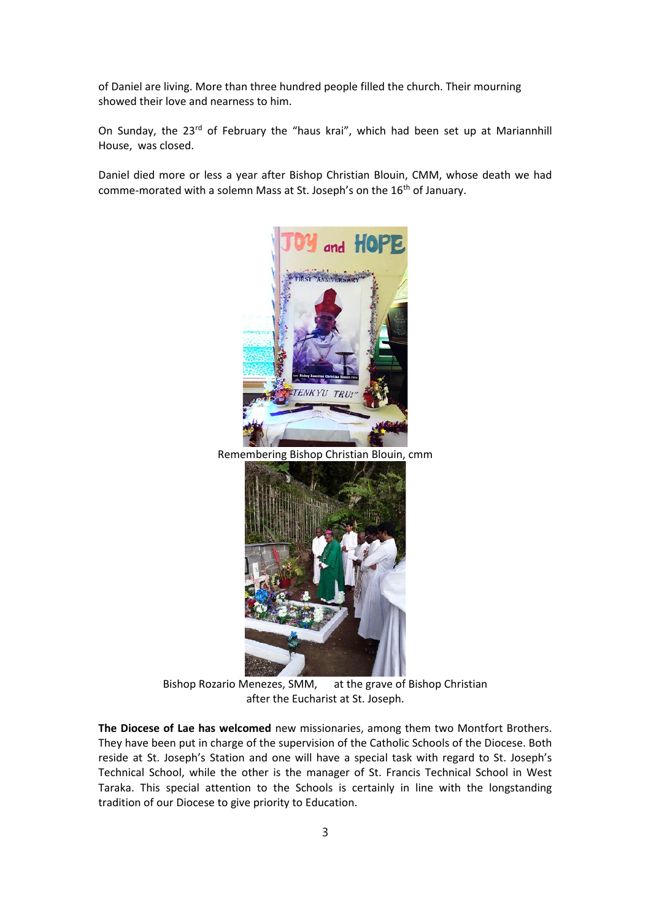of Daniel are living. More than three hundred people filled the church. Their mourning showed their love and nearness to him.

On Sunday, the 23<sup>rd</sup> of February the "haus krai", which had been set up at Mariannhill House, was closed.

Daniel died more or less a year after Bishop Christian Blouin, CMM, whose death we had comme-morated with a solemn Mass at St. Joseph's on the 16<sup>th</sup> of January.



Remembering Bishop Christian Blouin, cmm



Bishop Rozario Menezes, SMM, at the grave of Bishop Christian after the Eucharist at St. Joseph.

**The Diocese of Lae has welcomed** new missionaries, among them two Montfort Brothers. They have been put in charge of the supervision of the Catholic Schools of the Diocese. Both reside at St. Joseph's Station and one will have a special task with regard to St. Joseph's Technical School, while the other is the manager of St. Francis Technical School in West Taraka. This special attention to the Schools is certainly in line with the longstanding tradition of our Diocese to give priority to Education.